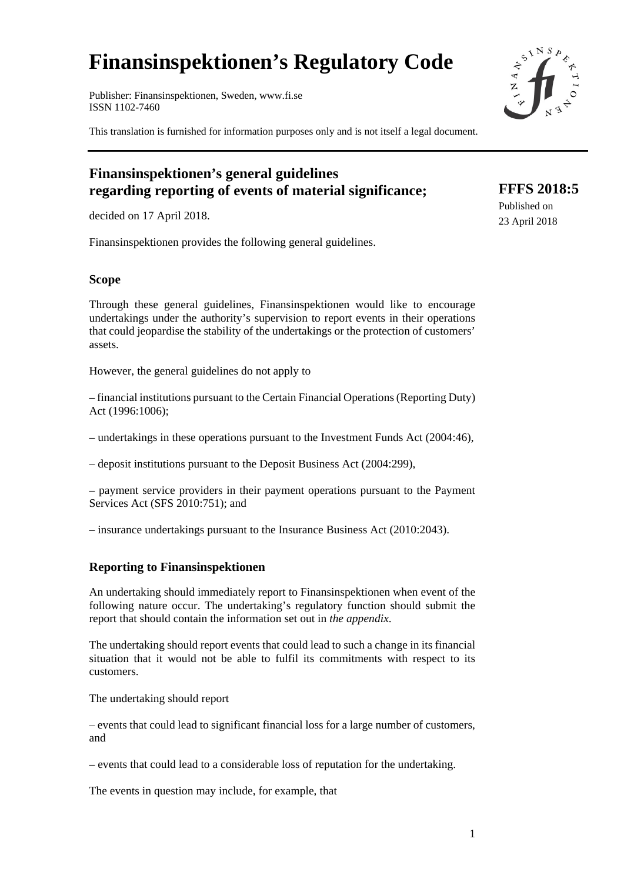# **Finansinspektionen's Regulatory Code**

Publisher: Finansinspektionen, Sweden, www.fi.se ISSN 1102-7460

This translation is furnished for information purposes only and is not itself a legal document.

# **Finansinspektionen's general guidelines regarding reporting of events of material significance;**

decided on 17 April 2018.

Finansinspektionen provides the following general guidelines.

#### **Scope**

Through these general guidelines, Finansinspektionen would like to encourage undertakings under the authority's supervision to report events in their operations that could jeopardise the stability of the undertakings or the protection of customers' assets.

However, the general guidelines do not apply to

– financial institutions pursuant to the Certain Financial Operations (Reporting Duty) Act (1996:1006);

– undertakings in these operations pursuant to the Investment Funds Act (2004:46),

– deposit institutions pursuant to the Deposit Business Act (2004:299),

– payment service providers in their payment operations pursuant to the Payment Services Act (SFS 2010:751); and

– insurance undertakings pursuant to the Insurance Business Act (2010:2043).

### **Reporting to Finansinspektionen**

An undertaking should immediately report to Finansinspektionen when event of the following nature occur. The undertaking's regulatory function should submit the report that should contain the information set out in *the appendix*.

The undertaking should report events that could lead to such a change in its financial situation that it would not be able to fulfil its commitments with respect to its customers.

The undertaking should report

– events that could lead to significant financial loss for a large number of customers, and

– events that could lead to a considerable loss of reputation for the undertaking.

The events in question may include, for example, that



**FFFS 2018:5**  Published on 23 April 2018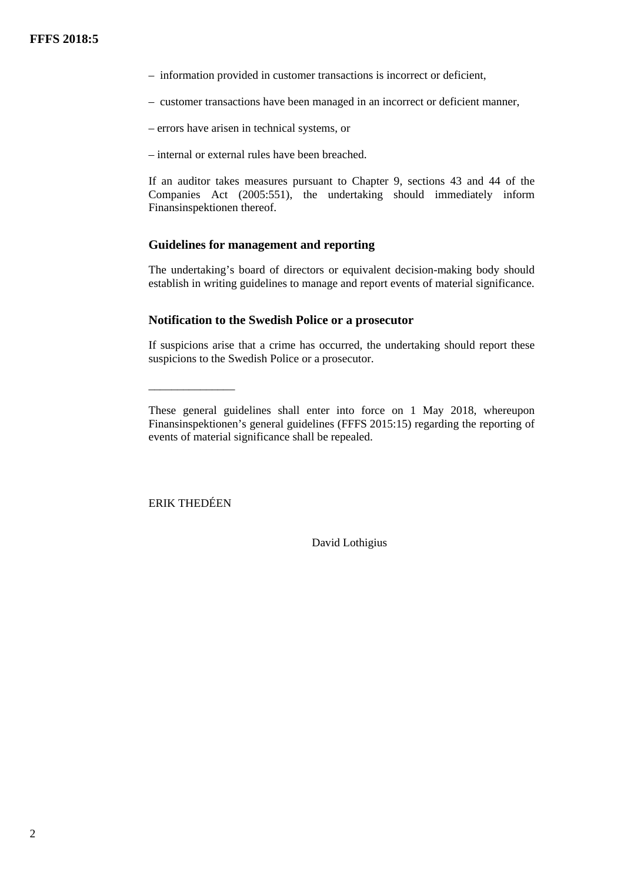- information provided in customer transactions is incorrect or deficient,
- customer transactions have been managed in an incorrect or deficient manner,
- errors have arisen in technical systems, or
- internal or external rules have been breached.

If an auditor takes measures pursuant to Chapter 9, sections 43 and 44 of the Companies Act (2005:551), the undertaking should immediately inform Finansinspektionen thereof.

### **Guidelines for management and reporting**

The undertaking's board of directors or equivalent decision-making body should establish in writing guidelines to manage and report events of material significance.

#### **Notification to the Swedish Police or a prosecutor**

If suspicions arise that a crime has occurred, the undertaking should report these suspicions to the Swedish Police or a prosecutor.

ERIK THEDÉEN

\_\_\_\_\_\_\_\_\_\_\_\_\_\_\_

David Lothigius

These general guidelines shall enter into force on 1 May 2018, whereupon Finansinspektionen's general guidelines (FFFS 2015:15) regarding the reporting of events of material significance shall be repealed.